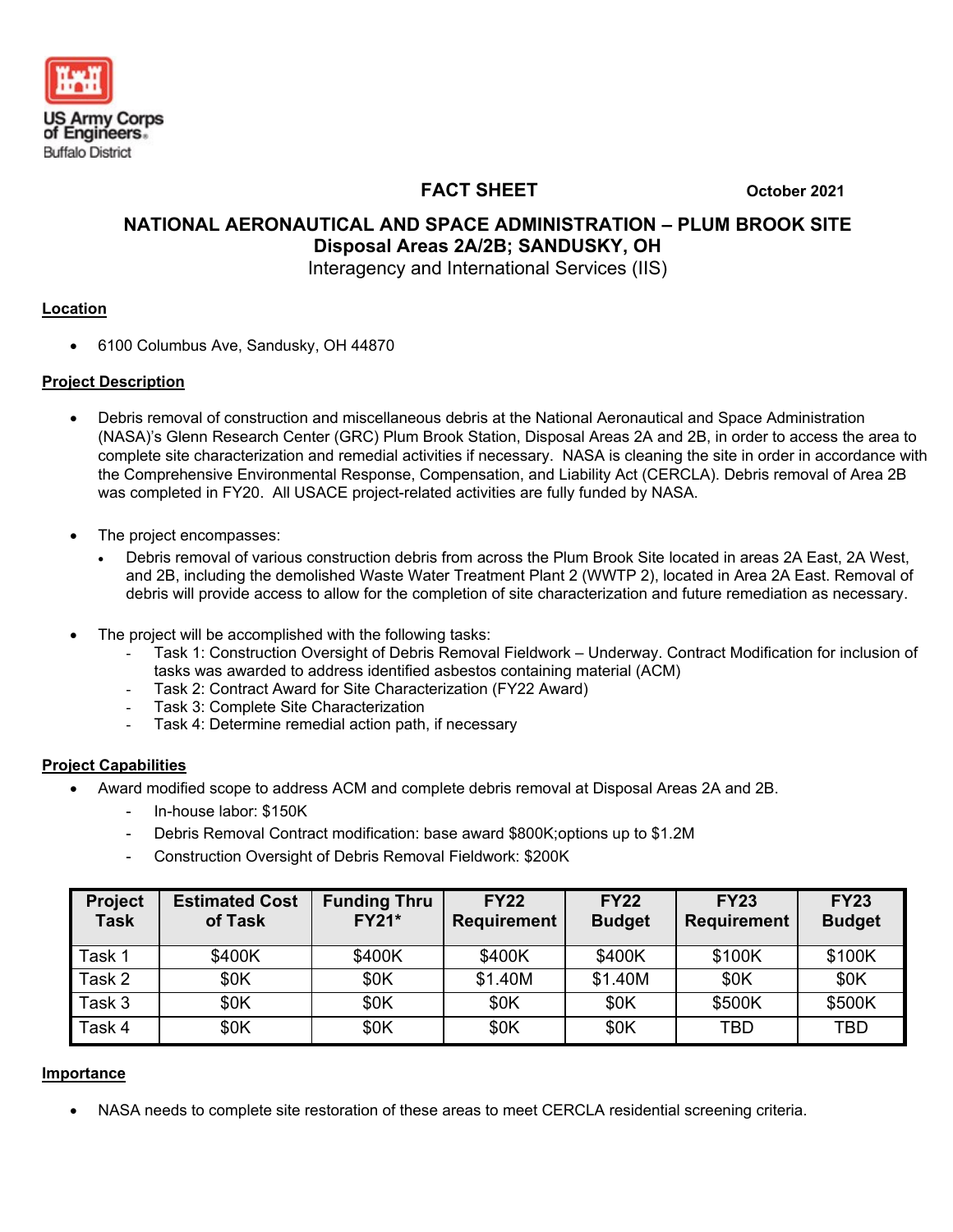

 **FACT SHEET October 2021**

# **NATIONAL AERONAUTICAL AND SPACE ADMINISTRATION – PLUM BROOK SITE Disposal Areas 2A/2B; SANDUSKY, OH** Interagency and International Services (IIS)

### **Location**

• 6100 Columbus Ave, Sandusky, OH 44870

### **Project Description**

- Debris removal of construction and miscellaneous debris at the National Aeronautical and Space Administration (NASA)'s Glenn Research Center (GRC) Plum Brook Station, Disposal Areas 2A and 2B, in order to access the area to complete site characterization and remedial activities if necessary. NASA is cleaning the site in order in accordance with the Comprehensive Environmental Response, Compensation, and Liability Act (CERCLA). Debris removal of Area 2B was completed in FY20. All USACE project-related activities are fully funded by NASA.
- The project encompasses:
	- Debris removal of various construction debris from across the Plum Brook Site located in areas 2A East, 2A West, and 2B, including the demolished Waste Water Treatment Plant 2 (WWTP 2), located in Area 2A East. Removal of debris will provide access to allow for the completion of site characterization and future remediation as necessary.
- The project will be accomplished with the following tasks:
	- Task 1: Construction Oversight of Debris Removal Fieldwork Underway. Contract Modification for inclusion of tasks was awarded to address identified asbestos containing material (ACM)
	- Task 2: Contract Award for Site Characterization (FY22 Award)
	- Task 3: Complete Site Characterization
	- Task 4: Determine remedial action path, if necessary

#### **Project Capabilities**

- Award modified scope to address ACM and complete debris removal at Disposal Areas 2A and 2B.
	- In-house labor: \$150K
	- Debris Removal Contract modification: base award \$800K;options up to \$1.2M
	- Construction Oversight of Debris Removal Fieldwork: \$200K

| <b>Project</b><br><b>Task</b> | <b>Estimated Cost</b><br>of Task | <b>Funding Thru</b><br><b>FY21*</b> | <b>FY22</b><br><b>Requirement</b> | <b>FY22</b><br><b>Budget</b> | <b>FY23</b><br><b>Requirement</b> | <b>FY23</b><br><b>Budget</b> |
|-------------------------------|----------------------------------|-------------------------------------|-----------------------------------|------------------------------|-----------------------------------|------------------------------|
| Task 1                        | \$400K                           | \$400K                              | \$400K                            | \$400K                       | \$100K                            | \$100K                       |
| Task 2                        | \$0K                             | \$0K                                | \$1.40M                           | \$1.40M                      | \$0K                              | \$0K                         |
| Task 3                        | \$0K                             | \$0K                                | \$0K                              | \$0K                         | \$500K                            | \$500K                       |
| Task 4                        | \$0K                             | \$0K                                | \$0K                              | \$0K                         | TBD                               | TBD                          |

#### **Importance**

• NASA needs to complete site restoration of these areas to meet CERCLA residential screening criteria.